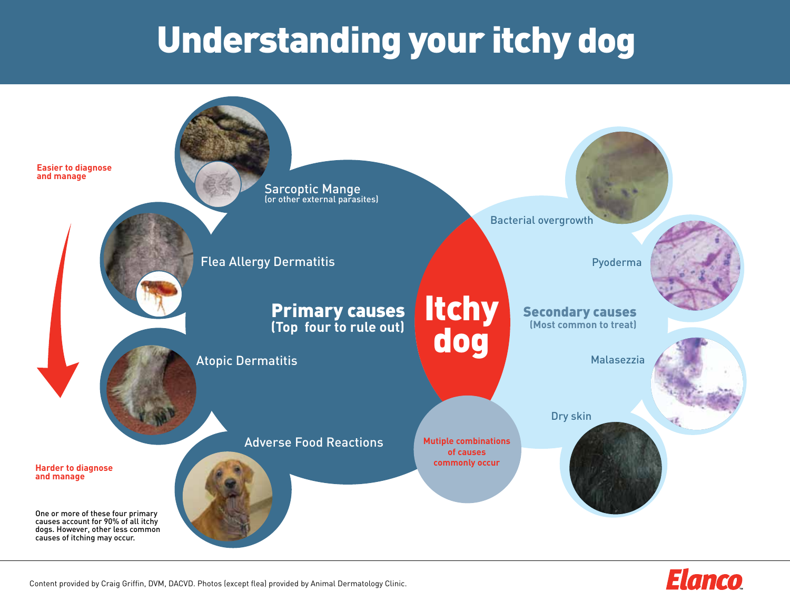# Understanding your itchy dog



Content provided by Craig Griffin, DVM, DACVD. Photos (except flea) provided by Animal Dermatology Clinic.